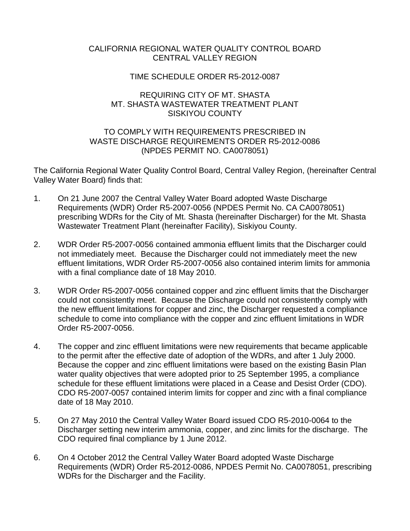## CALIFORNIA REGIONAL WATER QUALITY CONTROL BOARD CENTRAL VALLEY REGION

# TIME SCHEDULE ORDER R5-2012-0087

## REQUIRING CITY OF MT. SHASTA MT. SHASTA WASTEWATER TREATMENT PLANT SISKIYOU COUNTY

# TO COMPLY WITH REQUIREMENTS PRESCRIBED IN WASTE DISCHARGE REQUIREMENTS ORDER R5-2012-0086 (NPDES PERMIT NO. CA0078051)

The California Regional Water Quality Control Board, Central Valley Region, (hereinafter Central Valley Water Board) finds that:

- 1. On 21 June 2007 the Central Valley Water Board adopted Waste Discharge Requirements (WDR) Order R5-2007-0056 (NPDES Permit No. CA CA0078051) prescribing WDRs for the City of Mt. Shasta (hereinafter Discharger) for the Mt. Shasta Wastewater Treatment Plant (hereinafter Facility), Siskiyou County.
- 2. WDR Order R5-2007-0056 contained ammonia effluent limits that the Discharger could not immediately meet. Because the Discharger could not immediately meet the new effluent limitations, WDR Order R5-2007-0056 also contained interim limits for ammonia with a final compliance date of 18 May 2010.
- 3. WDR Order R5-2007-0056 contained copper and zinc effluent limits that the Discharger could not consistently meet. Because the Discharge could not consistently comply with the new effluent limitations for copper and zinc, the Discharger requested a compliance schedule to come into compliance with the copper and zinc effluent limitations in WDR Order R5-2007-0056.
- 4. The copper and zinc effluent limitations were new requirements that became applicable to the permit after the effective date of adoption of the WDRs, and after 1 July 2000. Because the copper and zinc effluent limitations were based on the existing Basin Plan water quality objectives that were adopted prior to 25 September 1995, a compliance schedule for these effluent limitations were placed in a Cease and Desist Order (CDO). CDO R5-2007-0057 contained interim limits for copper and zinc with a final compliance date of 18 May 2010.
- 5. On 27 May 2010 the Central Valley Water Board issued CDO R5-2010-0064 to the Discharger setting new interim ammonia, copper, and zinc limits for the discharge. The CDO required final compliance by 1 June 2012.
- 6. On 4 October 2012 the Central Valley Water Board adopted Waste Discharge Requirements (WDR) Order R5-2012-0086, NPDES Permit No. CA0078051, prescribing WDRs for the Discharger and the Facility.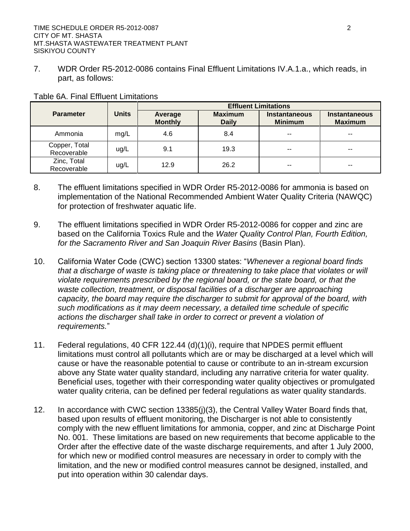7. WDR Order R5-2012-0086 contains Final Effluent Limitations IV.A.1.a., which reads, in part, as follows:

|                              |              | <b>Effluent Limitations</b> |                                |                                        |                                        |  |
|------------------------------|--------------|-----------------------------|--------------------------------|----------------------------------------|----------------------------------------|--|
| <b>Parameter</b>             | <b>Units</b> | Average<br><b>Monthly</b>   | <b>Maximum</b><br><b>Daily</b> | <b>Instantaneous</b><br><b>Minimum</b> | <b>Instantaneous</b><br><b>Maximum</b> |  |
| Ammonia                      | mg/L         | 4.6                         | 8.4                            | --                                     | $- -$                                  |  |
| Copper, Total<br>Recoverable | ug/L         | 9.1                         | 19.3                           | --                                     | $- -$                                  |  |
| Zinc, Total<br>Recoverable   | ug/L         | 12.9                        | 26.2                           | --                                     | $- -$                                  |  |

#### Table 6A. Final Effluent Limitations

- 8. The effluent limitations specified in WDR Order R5-2012-0086 for ammonia is based on implementation of the National Recommended Ambient Water Quality Criteria (NAWQC) for protection of freshwater aquatic life.
- 9. The effluent limitations specified in WDR Order R5-2012-0086 for copper and zinc are based on the California Toxics Rule and the *Water Quality Control Plan, Fourth Edition, for the Sacramento River and San Joaquin River Basins* (Basin Plan).
- 10. California Water Code (CWC) section 13300 states: "*Whenever a regional board finds that a discharge of waste is taking place or threatening to take place that violates or will violate requirements prescribed by the regional board, or the state board, or that the waste collection, treatment, or disposal facilities of a discharger are approaching capacity, the board may require the discharger to submit for approval of the board, with such modifications as it may deem necessary, a detailed time schedule of specific actions the discharger shall take in order to correct or prevent a violation of requirements.*"
- 11. Federal regulations, 40 CFR 122.44 (d)(1)(i), require that NPDES permit effluent limitations must control all pollutants which are or may be discharged at a level which will cause or have the reasonable potential to cause or contribute to an in-stream excursion above any State water quality standard, including any narrative criteria for water quality. Beneficial uses, together with their corresponding water quality objectives or promulgated water quality criteria, can be defined per federal regulations as water quality standards.
- 12. In accordance with CWC section 13385(j)(3), the Central Valley Water Board finds that, based upon results of effluent monitoring, the Discharger is not able to consistently comply with the new effluent limitations for ammonia, copper, and zinc at Discharge Point No. 001. These limitations are based on new requirements that become applicable to the Order after the effective date of the waste discharge requirements, and after 1 July 2000, for which new or modified control measures are necessary in order to comply with the limitation, and the new or modified control measures cannot be designed, installed, and put into operation within 30 calendar days.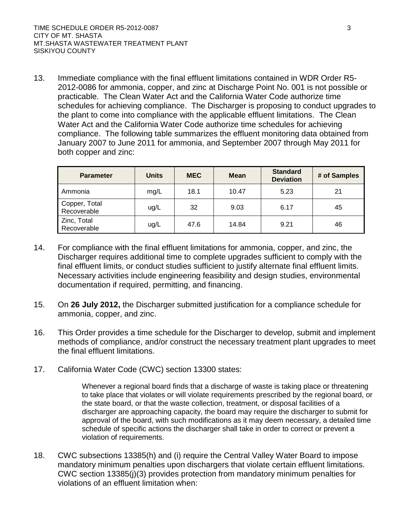13. Immediate compliance with the final effluent limitations contained in WDR Order R5- 2012-0086 for ammonia, copper, and zinc at Discharge Point No. 001 is not possible or practicable. The Clean Water Act and the California Water Code authorize time schedules for achieving compliance. The Discharger is proposing to conduct upgrades to the plant to come into compliance with the applicable effluent limitations. The Clean Water Act and the California Water Code authorize time schedules for achieving compliance. The following table summarizes the effluent monitoring data obtained from January 2007 to June 2011 for ammonia, and September 2007 through May 2011 for both copper and zinc:

| <b>Parameter</b>             | <b>Units</b> | <b>MEC</b> | <b>Mean</b> | <b>Standard</b><br><b>Deviation</b> | # of Samples |
|------------------------------|--------------|------------|-------------|-------------------------------------|--------------|
| Ammonia                      | mg/L         | 18.1       | 10.47       | 5.23                                | 21           |
| Copper, Total<br>Recoverable | ug/L         | 32         | 9.03        | 6.17                                | 45           |
| Zinc, Total<br>Recoverable   | ug/L         | 47.6       | 14.84       | 9.21                                | 46           |

- 14. For compliance with the final effluent limitations for ammonia, copper, and zinc, the Discharger requires additional time to complete upgrades sufficient to comply with the final effluent limits, or conduct studies sufficient to justify alternate final effluent limits. Necessary activities include engineering feasibility and design studies, environmental documentation if required, permitting, and financing.
- 15. On **26 July 2012,** the Discharger submitted justification for a compliance schedule for ammonia, copper, and zinc.
- 16. This Order provides a time schedule for the Discharger to develop, submit and implement methods of compliance, and/or construct the necessary treatment plant upgrades to meet the final effluent limitations.
- 17. California Water Code (CWC) section 13300 states:

Whenever a regional board finds that a discharge of waste is taking place or threatening to take place that violates or will violate requirements prescribed by the regional board, or the state board, or that the waste collection, treatment, or disposal facilities of a discharger are approaching capacity, the board may require the discharger to submit for approval of the board, with such modifications as it may deem necessary, a detailed time schedule of specific actions the discharger shall take in order to correct or prevent a violation of requirements.

18. CWC subsections 13385(h) and (i) require the Central Valley Water Board to impose mandatory minimum penalties upon dischargers that violate certain effluent limitations. CWC section 13385(j)(3) provides protection from mandatory minimum penalties for violations of an effluent limitation when: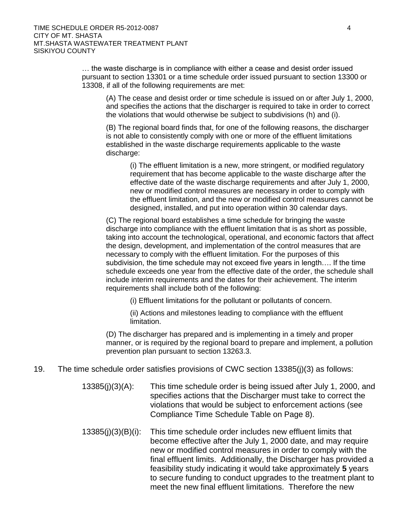… the waste discharge is in compliance with either a cease and desist order issued pursuant to section 13301 or a time schedule order issued pursuant to section 13300 or 13308, if all of the following requirements are met:

(A) The cease and desist order or time schedule is issued on or after July 1, 2000, and specifies the actions that the discharger is required to take in order to correct the violations that would otherwise be subject to subdivisions (h) and (i).

(B) The regional board finds that, for one of the following reasons, the discharger is not able to consistently comply with one or more of the effluent limitations established in the waste discharge requirements applicable to the waste discharge:

(i) The effluent limitation is a new, more stringent, or modified regulatory requirement that has become applicable to the waste discharge after the effective date of the waste discharge requirements and after July 1, 2000, new or modified control measures are necessary in order to comply with the effluent limitation, and the new or modified control measures cannot be designed, installed, and put into operation within 30 calendar days.

(C) The regional board establishes a time schedule for bringing the waste discharge into compliance with the effluent limitation that is as short as possible, taking into account the technological, operational, and economic factors that affect the design, development, and implementation of the control measures that are necessary to comply with the effluent limitation. For the purposes of this subdivision, the time schedule may not exceed five years in length…. If the time schedule exceeds one year from the effective date of the order, the schedule shall include interim requirements and the dates for their achievement. The interim requirements shall include both of the following:

(i) Effluent limitations for the pollutant or pollutants of concern.

(ii) Actions and milestones leading to compliance with the effluent limitation.

(D) The discharger has prepared and is implementing in a timely and proper manner, or is required by the regional board to prepare and implement, a pollution prevention plan pursuant to section 13263.3.

- 19. The time schedule order satisfies provisions of CWC section 13385(j)(3) as follows:
	- 13385(j)(3)(A): This time schedule order is being issued after July 1, 2000, and specifies actions that the Discharger must take to correct the violations that would be subject to enforcement actions (see Compliance Time Schedule Table on Page 8).
	- 13385(j)(3)(B)(i): This time schedule order includes new effluent limits that become effective after the July 1, 2000 date, and may require new or modified control measures in order to comply with the final effluent limits. Additionally, the Discharger has provided a feasibility study indicating it would take approximately **5** years to secure funding to conduct upgrades to the treatment plant to meet the new final effluent limitations. Therefore the new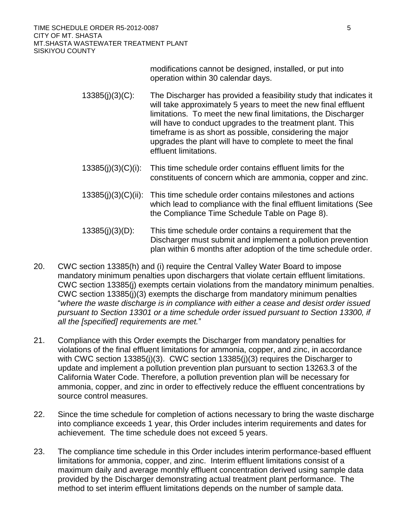modifications cannot be designed, installed, or put into operation within 30 calendar days.

- 13385(j)(3)(C): The Discharger has provided a feasibility study that indicates it will take approximately 5 years to meet the new final effluent limitations. To meet the new final limitations, the Discharger will have to conduct upgrades to the treatment plant. This timeframe is as short as possible, considering the major upgrades the plant will have to complete to meet the final effluent limitations.
- 13385(j)(3)(C)(i): This time schedule order contains effluent limits for the constituents of concern which are ammonia, copper and zinc.
- 13385(j)(3)(C)(ii): This time schedule order contains milestones and actions which lead to compliance with the final effluent limitations (See the Compliance Time Schedule Table on Page 8).
- 13385(j)(3)(D): This time schedule order contains a requirement that the Discharger must submit and implement a pollution prevention plan within 6 months after adoption of the time schedule order.
- 20. CWC section 13385(h) and (i) require the Central Valley Water Board to impose mandatory minimum penalties upon dischargers that violate certain effluent limitations. CWC section 13385(j) exempts certain violations from the mandatory minimum penalties. CWC section 13385(j)(3) exempts the discharge from mandatory minimum penalties "*where the waste discharge is in compliance with either a cease and desist order issued pursuant to Section 13301 or a time schedule order issued pursuant to Section 13300, if all the [specified] requirements are met.*"
- 21. Compliance with this Order exempts the Discharger from mandatory penalties for violations of the final effluent limitations for ammonia, copper, and zinc, in accordance with CWC section 13385(j)(3). CWC section 13385(j)(3) requires the Discharger to update and implement a pollution prevention plan pursuant to section 13263.3 of the California Water Code. Therefore, a pollution prevention plan will be necessary for ammonia, copper, and zinc in order to effectively reduce the effluent concentrations by source control measures.
- 22. Since the time schedule for completion of actions necessary to bring the waste discharge into compliance exceeds 1 year, this Order includes interim requirements and dates for achievement. The time schedule does not exceed 5 years.
- 23. The compliance time schedule in this Order includes interim performance-based effluent limitations for ammonia, copper, and zinc. Interim effluent limitations consist of a maximum daily and average monthly effluent concentration derived using sample data provided by the Discharger demonstrating actual treatment plant performance. The method to set interim effluent limitations depends on the number of sample data.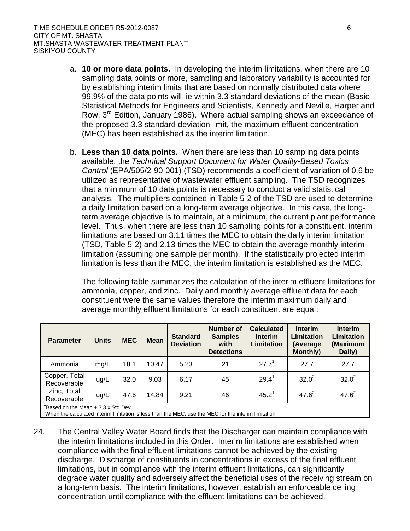- a. **10 or more data points.** In developing the interim limitations, when there are 10 sampling data points or more, sampling and laboratory variability is accounted for by establishing interim limits that are based on normally distributed data where 99.9% of the data points will lie within 3.3 standard deviations of the mean (Basic Statistical Methods for Engineers and Scientists, Kennedy and Neville, Harper and Row, 3rd Edition, January 1986). Where actual sampling shows an exceedance of the proposed 3.3 standard deviation limit, the maximum effluent concentration (MEC) has been established as the interim limitation.
- b. **Less than 10 data points.** When there are less than 10 sampling data points available, the *Technical Support Document for Water Quality-Based Toxics Control* (EPA/505/2-90-001) (TSD) recommends a coefficient of variation of 0.6 be utilized as representative of wastewater effluent sampling. The TSD recognizes that a minimum of 10 data points is necessary to conduct a valid statistical analysis. The multipliers contained in Table 5-2 of the TSD are used to determine a daily limitation based on a long-term average objective. In this case, the longterm average objective is to maintain, at a minimum, the current plant performance level. Thus, when there are less than 10 sampling points for a constituent, interim limitations are based on 3.11 times the MEC to obtain the daily interim limitation (TSD, Table 5-2) and 2.13 times the MEC to obtain the average monthly interim limitation (assuming one sample per month). If the statistically projected interim limitation is less than the MEC, the interim limitation is established as the MEC.

The following table summarizes the calculation of the interim effluent limitations for ammonia, copper, and zinc. Daily and monthly average effluent data for each constituent were the same values therefore the interim maximum daily and average monthly effluent limitations for each constituent are equal:

| <b>Parameter</b>                  | <b>Units</b> | <b>MEC</b> | <b>Mean</b> | <b>Standard</b><br><b>Deviation</b> | <b>Number of</b><br><b>Samples</b><br>with<br><b>Detections</b> | <b>Calculated</b><br><b>Interim</b><br>Limitation | <b>Interim</b><br><b>Limitation</b><br>(Average<br><b>Monthly)</b> | <b>Interim</b><br><b>Limitation</b><br>(Maximum<br>Daily) |
|-----------------------------------|--------------|------------|-------------|-------------------------------------|-----------------------------------------------------------------|---------------------------------------------------|--------------------------------------------------------------------|-----------------------------------------------------------|
| Ammonia                           | mq/L         | 18.1       | 10.47       | 5.23                                | 21                                                              | $27.7^{1}$                                        | 27.7                                                               | 27.7                                                      |
| Copper, Total<br>Recoverable      | ug/L         | 32.0       | 9.03        | 6.17                                | 45                                                              | $29.4^1$                                          | $32.0^2$                                                           | $32.0^2$                                                  |
| Zinc, Total<br>Recoverable        | ug/L         | 47.6       | 14.84       | 9.21                                | 46                                                              | $45.2^1$                                          | $47.6^2$                                                           | $47.6^2$                                                  |
| Based on the Mean + 3.3 x Std Dev |              |            |             |                                     |                                                                 |                                                   |                                                                    |                                                           |

 $2^{\circ}$ When the calculated interim limitation is less than the MEC, use the MEC for the interim limitation

24. The Central Valley Water Board finds that the Discharger can maintain compliance with the interim limitations included in this Order. Interim limitations are established when compliance with the final effluent limitations cannot be achieved by the existing discharge. Discharge of constituents in concentrations in excess of the final effluent limitations, but in compliance with the interim effluent limitations, can significantly degrade water quality and adversely affect the beneficial uses of the receiving stream on a long-term basis. The interim limitations, however, establish an enforceable ceiling concentration until compliance with the effluent limitations can be achieved.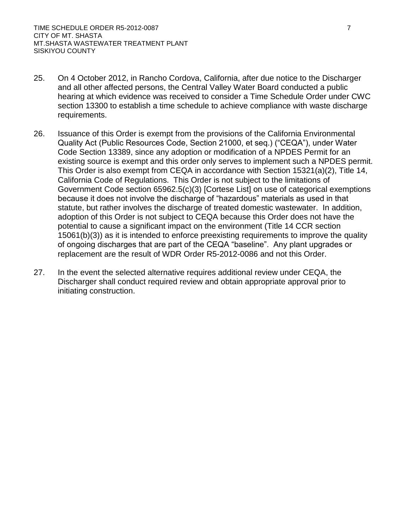- 25. On 4 October 2012, in Rancho Cordova, California, after due notice to the Discharger and all other affected persons, the Central Valley Water Board conducted a public hearing at which evidence was received to consider a Time Schedule Order under CWC section 13300 to establish a time schedule to achieve compliance with waste discharge requirements.
- 26. Issuance of this Order is exempt from the provisions of the California Environmental Quality Act (Public Resources Code, Section 21000, et seq.) ("CEQA"), under Water Code Section 13389, since any adoption or modification of a NPDES Permit for an existing source is exempt and this order only serves to implement such a NPDES permit. This Order is also exempt from CEQA in accordance with Section 15321(a)(2), Title 14, California Code of Regulations. This Order is not subject to the limitations of Government Code section 65962.5(c)(3) [Cortese List] on use of categorical exemptions because it does not involve the discharge of "hazardous" materials as used in that statute, but rather involves the discharge of treated domestic wastewater. In addition, adoption of this Order is not subject to CEQA because this Order does not have the potential to cause a significant impact on the environment (Title 14 CCR section 15061(b)(3)) as it is intended to enforce preexisting requirements to improve the quality of ongoing discharges that are part of the CEQA "baseline". Any plant upgrades or replacement are the result of WDR Order R5-2012-0086 and not this Order.
- 27. In the event the selected alternative requires additional review under CEQA, the Discharger shall conduct required review and obtain appropriate approval prior to initiating construction.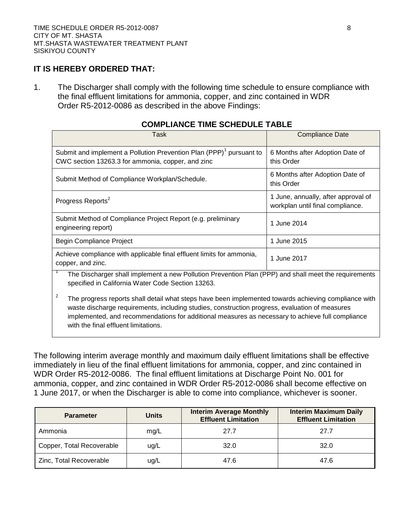#### **IT IS HEREBY ORDERED THAT:**

1. The Discharger shall comply with the following time schedule to ensure compliance with the final effluent limitations for ammonia, copper, and zinc contained in WDR Order R5-2012-0086 as described in the above Findings:

| Task                                                                                                                                                                                                                                                                                                                                                    | <b>Compliance Date</b>                                                  |  |  |  |  |
|---------------------------------------------------------------------------------------------------------------------------------------------------------------------------------------------------------------------------------------------------------------------------------------------------------------------------------------------------------|-------------------------------------------------------------------------|--|--|--|--|
| Submit and implement a Pollution Prevention Plan (PPP) <sup>1</sup> pursuant to<br>CWC section 13263.3 for ammonia, copper, and zinc                                                                                                                                                                                                                    | 6 Months after Adoption Date of<br>this Order                           |  |  |  |  |
| Submit Method of Compliance Workplan/Schedule.                                                                                                                                                                                                                                                                                                          | 6 Months after Adoption Date of<br>this Order                           |  |  |  |  |
| Progress Reports <sup>2</sup>                                                                                                                                                                                                                                                                                                                           | 1 June, annually, after approval of<br>workplan until final compliance. |  |  |  |  |
| Submit Method of Compliance Project Report (e.g. preliminary<br>engineering report)                                                                                                                                                                                                                                                                     | 1 June 2014                                                             |  |  |  |  |
| Begin Compliance Project                                                                                                                                                                                                                                                                                                                                | 1 June 2015                                                             |  |  |  |  |
| Achieve compliance with applicable final effluent limits for ammonia,<br>copper, and zinc.                                                                                                                                                                                                                                                              | 1 June 2017                                                             |  |  |  |  |
| The Discharger shall implement a new Pollution Prevention Plan (PPP) and shall meet the requirements<br>specified in California Water Code Section 13263.                                                                                                                                                                                               |                                                                         |  |  |  |  |
| 2<br>The progress reports shall detail what steps have been implemented towards achieving compliance with<br>waste discharge requirements, including studies, construction progress, evaluation of measures<br>implemented, and recommendations for additional measures as necessary to achieve full compliance<br>with the final effluent limitations. |                                                                         |  |  |  |  |

#### **COMPLIANCE TIME SCHEDULE TABLE**

The following interim average monthly and maximum daily effluent limitations shall be effective immediately in lieu of the final effluent limitations for ammonia, copper, and zinc contained in WDR Order R5-2012-0086. The final effluent limitations at Discharge Point No. 001 for ammonia, copper, and zinc contained in WDR Order R5-2012-0086 shall become effective on 1 June 2017, or when the Discharger is able to come into compliance, whichever is sooner.

| <b>Parameter</b>          | <b>Units</b> | <b>Interim Average Monthly</b><br><b>Effluent Limitation</b> | <b>Interim Maximum Daily</b><br><b>Effluent Limitation</b> |  |
|---------------------------|--------------|--------------------------------------------------------------|------------------------------------------------------------|--|
| Ammonia                   | mg/L         | 27.7                                                         | 27.7                                                       |  |
| Copper, Total Recoverable | ug/L         | 32.0                                                         | 32.0                                                       |  |
| Zinc, Total Recoverable   | ug/L         | 47.6                                                         | 47.6                                                       |  |